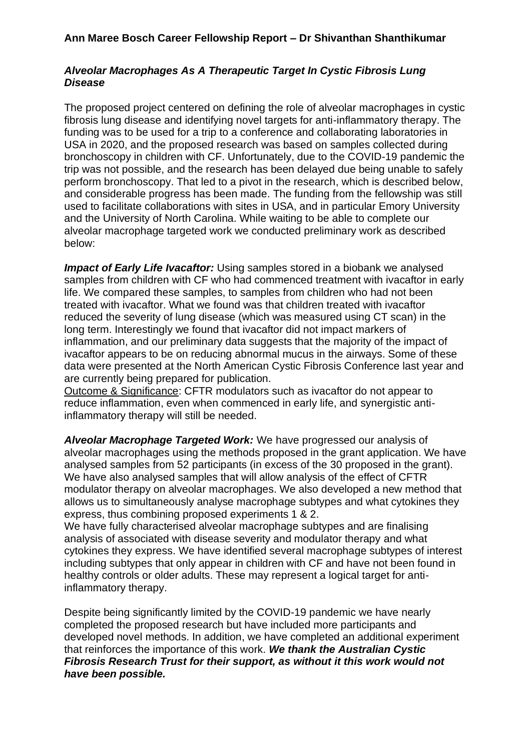## **Ann Maree Bosch Career Fellowship Report – Dr Shivanthan Shanthikumar**

## *Alveolar Macrophages As A Therapeutic Target In Cystic Fibrosis Lung Disease*

The proposed project centered on defining the role of alveolar macrophages in cystic fibrosis lung disease and identifying novel targets for anti-inflammatory therapy. The funding was to be used for a trip to a conference and collaborating laboratories in USA in 2020, and the proposed research was based on samples collected during bronchoscopy in children with CF. Unfortunately, due to the COVID-19 pandemic the trip was not possible, and the research has been delayed due being unable to safely perform bronchoscopy. That led to a pivot in the research, which is described below, and considerable progress has been made. The funding from the fellowship was still used to facilitate collaborations with sites in USA, and in particular Emory University and the University of North Carolina. While waiting to be able to complete our alveolar macrophage targeted work we conducted preliminary work as described below:

*Impact of Early Life Ivacaftor:* Using samples stored in a biobank we analysed samples from children with CF who had commenced treatment with ivacaftor in early life. We compared these samples, to samples from children who had not been treated with ivacaftor. What we found was that children treated with ivacaftor reduced the severity of lung disease (which was measured using CT scan) in the long term. Interestingly we found that ivacaftor did not impact markers of inflammation, and our preliminary data suggests that the majority of the impact of ivacaftor appears to be on reducing abnormal mucus in the airways. Some of these data were presented at the North American Cystic Fibrosis Conference last year and are currently being prepared for publication.

Outcome & Significance: CFTR modulators such as ivacaftor do not appear to reduce inflammation, even when commenced in early life, and synergistic antiinflammatory therapy will still be needed.

*Alveolar Macrophage Targeted Work:* We have progressed our analysis of alveolar macrophages using the methods proposed in the grant application. We have analysed samples from 52 participants (in excess of the 30 proposed in the grant). We have also analysed samples that will allow analysis of the effect of CFTR modulator therapy on alveolar macrophages. We also developed a new method that allows us to simultaneously analyse macrophage subtypes and what cytokines they express, thus combining proposed experiments 1 & 2.

We have fully characterised alveolar macrophage subtypes and are finalising analysis of associated with disease severity and modulator therapy and what cytokines they express. We have identified several macrophage subtypes of interest including subtypes that only appear in children with CF and have not been found in healthy controls or older adults. These may represent a logical target for antiinflammatory therapy.

Despite being significantly limited by the COVID-19 pandemic we have nearly completed the proposed research but have included more participants and developed novel methods. In addition, we have completed an additional experiment that reinforces the importance of this work. *We thank the Australian Cystic Fibrosis Research Trust for their support, as without it this work would not have been possible.*